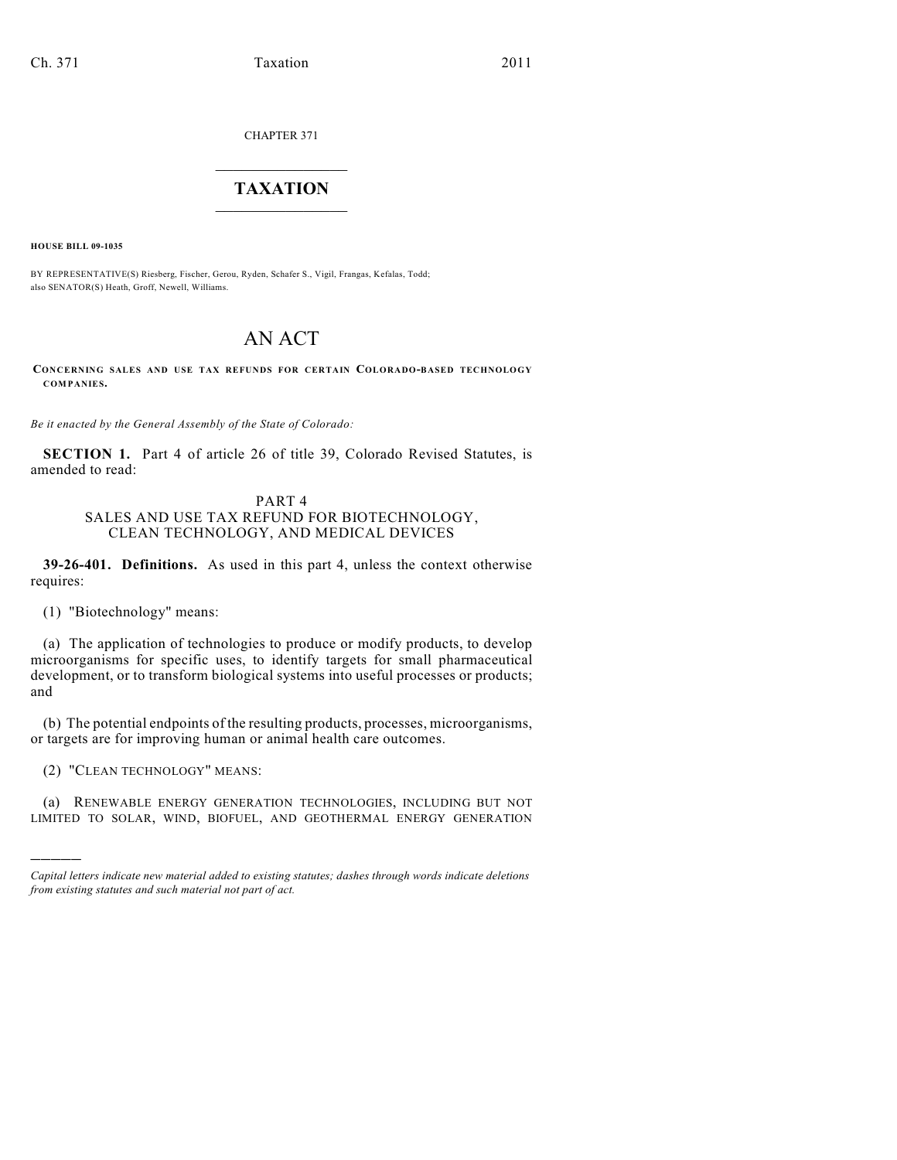CHAPTER 371

## $\overline{\phantom{a}}$  . The set of the set of the set of the set of the set of the set of the set of the set of the set of the set of the set of the set of the set of the set of the set of the set of the set of the set of the set o **TAXATION**  $\_$

**HOUSE BILL 09-1035**

BY REPRESENTATIVE(S) Riesberg, Fischer, Gerou, Ryden, Schafer S., Vigil, Frangas, Kefalas, Todd; also SENATOR(S) Heath, Groff, Newell, Williams.

# AN ACT

**CONCERNING SALES AND USE TAX REFUNDS FOR CERTAIN COLORADO-BASED TECHNOLOGY COMPANIES.**

*Be it enacted by the General Assembly of the State of Colorado:*

**SECTION 1.** Part 4 of article 26 of title 39, Colorado Revised Statutes, is amended to read:

### PART 4 SALES AND USE TAX REFUND FOR BIOTECHNOLOGY, CLEAN TECHNOLOGY, AND MEDICAL DEVICES

**39-26-401. Definitions.** As used in this part 4, unless the context otherwise requires:

(1) "Biotechnology" means:

(a) The application of technologies to produce or modify products, to develop microorganisms for specific uses, to identify targets for small pharmaceutical development, or to transform biological systems into useful processes or products; and

(b) The potential endpoints of the resulting products, processes, microorganisms, or targets are for improving human or animal health care outcomes.

(2) "CLEAN TECHNOLOGY" MEANS:

)))))

(a) RENEWABLE ENERGY GENERATION TECHNOLOGIES, INCLUDING BUT NOT LIMITED TO SOLAR, WIND, BIOFUEL, AND GEOTHERMAL ENERGY GENERATION

*Capital letters indicate new material added to existing statutes; dashes through words indicate deletions from existing statutes and such material not part of act.*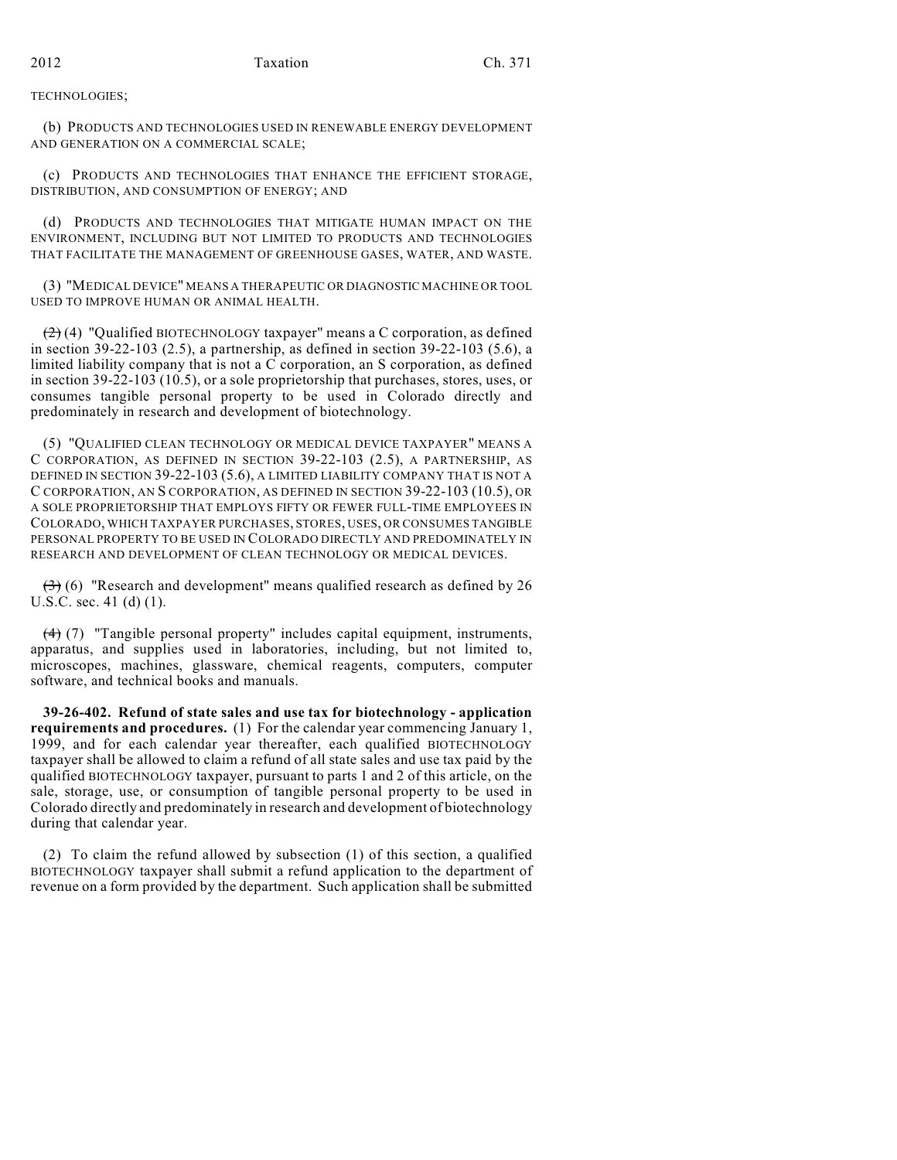TECHNOLOGIES;

(b) PRODUCTS AND TECHNOLOGIES USED IN RENEWABLE ENERGY DEVELOPMENT AND GENERATION ON A COMMERCIAL SCALE;

(c) PRODUCTS AND TECHNOLOGIES THAT ENHANCE THE EFFICIENT STORAGE, DISTRIBUTION, AND CONSUMPTION OF ENERGY; AND

(d) PRODUCTS AND TECHNOLOGIES THAT MITIGATE HUMAN IMPACT ON THE ENVIRONMENT, INCLUDING BUT NOT LIMITED TO PRODUCTS AND TECHNOLOGIES THAT FACILITATE THE MANAGEMENT OF GREENHOUSE GASES, WATER, AND WASTE.

(3) "MEDICAL DEVICE" MEANS A THERAPEUTIC OR DIAGNOSTIC MACHINE OR TOOL USED TO IMPROVE HUMAN OR ANIMAL HEALTH.

 $(2)(4)$  "Qualified BIOTECHNOLOGY taxpayer" means a C corporation, as defined in section 39-22-103 (2.5), a partnership, as defined in section 39-22-103 (5.6), a limited liability company that is not a C corporation, an S corporation, as defined in section 39-22-103 (10.5), or a sole proprietorship that purchases, stores, uses, or consumes tangible personal property to be used in Colorado directly and predominately in research and development of biotechnology.

(5) "QUALIFIED CLEAN TECHNOLOGY OR MEDICAL DEVICE TAXPAYER" MEANS A C CORPORATION, AS DEFINED IN SECTION 39-22-103 (2.5), A PARTNERSHIP, AS DEFINED IN SECTION 39-22-103 (5.6), A LIMITED LIABILITY COMPANY THAT IS NOT A C CORPORATION, AN S CORPORATION, AS DEFINED IN SECTION 39-22-103 (10.5), OR A SOLE PROPRIETORSHIP THAT EMPLOYS FIFTY OR FEWER FULL-TIME EMPLOYEES IN COLORADO, WHICH TAXPAYER PURCHASES, STORES, USES, OR CONSUMES TANGIBLE PERSONAL PROPERTY TO BE USED IN COLORADO DIRECTLY AND PREDOMINATELY IN RESEARCH AND DEVELOPMENT OF CLEAN TECHNOLOGY OR MEDICAL DEVICES.

 $(3)$  (6) "Research and development" means qualified research as defined by 26 U.S.C. sec. 41 (d) (1).

(4) (7) "Tangible personal property" includes capital equipment, instruments, apparatus, and supplies used in laboratories, including, but not limited to, microscopes, machines, glassware, chemical reagents, computers, computer software, and technical books and manuals.

**39-26-402. Refund of state sales and use tax for biotechnology - application requirements and procedures.** (1) For the calendar year commencing January 1, 1999, and for each calendar year thereafter, each qualified BIOTECHNOLOGY taxpayer shall be allowed to claim a refund of all state sales and use tax paid by the qualified BIOTECHNOLOGY taxpayer, pursuant to parts 1 and 2 of this article, on the sale, storage, use, or consumption of tangible personal property to be used in Colorado directly and predominately in research and development of biotechnology during that calendar year.

(2) To claim the refund allowed by subsection (1) of this section, a qualified BIOTECHNOLOGY taxpayer shall submit a refund application to the department of revenue on a form provided by the department. Such application shall be submitted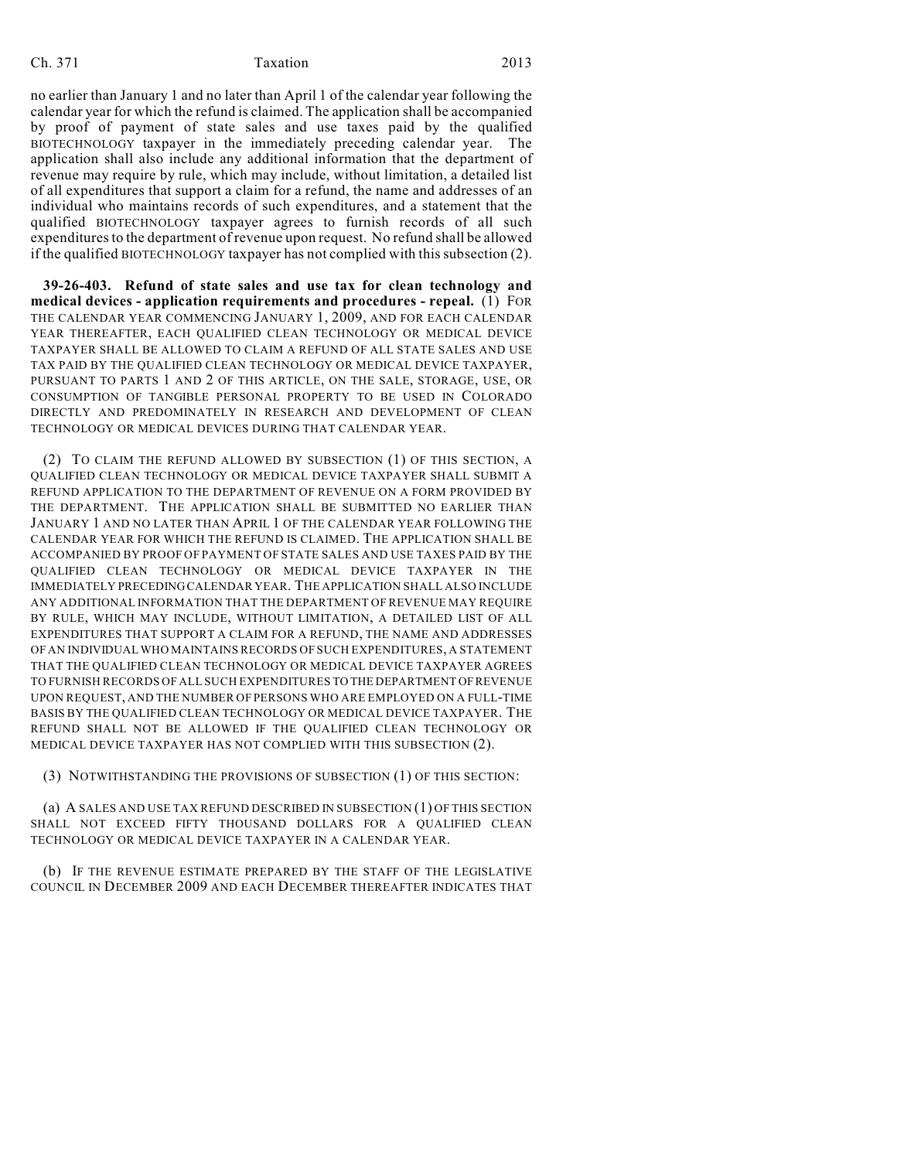#### Ch. 371 Taxation 2013

no earlier than January 1 and no later than April 1 of the calendar year following the calendar year for which the refund is claimed. The application shall be accompanied by proof of payment of state sales and use taxes paid by the qualified BIOTECHNOLOGY taxpayer in the immediately preceding calendar year. The application shall also include any additional information that the department of revenue may require by rule, which may include, without limitation, a detailed list of all expenditures that support a claim for a refund, the name and addresses of an individual who maintains records of such expenditures, and a statement that the qualified BIOTECHNOLOGY taxpayer agrees to furnish records of all such expenditures to the department of revenue upon request. No refund shall be allowed if the qualified BIOTECHNOLOGY taxpayer has not complied with this subsection (2).

**39-26-403. Refund of state sales and use tax for clean technology and medical devices - application requirements and procedures - repeal.** (1) FOR THE CALENDAR YEAR COMMENCING JANUARY 1, 2009, AND FOR EACH CALENDAR YEAR THEREAFTER, EACH QUALIFIED CLEAN TECHNOLOGY OR MEDICAL DEVICE TAXPAYER SHALL BE ALLOWED TO CLAIM A REFUND OF ALL STATE SALES AND USE TAX PAID BY THE QUALIFIED CLEAN TECHNOLOGY OR MEDICAL DEVICE TAXPAYER, PURSUANT TO PARTS 1 AND 2 OF THIS ARTICLE, ON THE SALE, STORAGE, USE, OR CONSUMPTION OF TANGIBLE PERSONAL PROPERTY TO BE USED IN COLORADO DIRECTLY AND PREDOMINATELY IN RESEARCH AND DEVELOPMENT OF CLEAN TECHNOLOGY OR MEDICAL DEVICES DURING THAT CALENDAR YEAR.

(2) TO CLAIM THE REFUND ALLOWED BY SUBSECTION (1) OF THIS SECTION, A QUALIFIED CLEAN TECHNOLOGY OR MEDICAL DEVICE TAXPAYER SHALL SUBMIT A REFUND APPLICATION TO THE DEPARTMENT OF REVENUE ON A FORM PROVIDED BY THE DEPARTMENT. THE APPLICATION SHALL BE SUBMITTED NO EARLIER THAN JANUARY 1 AND NO LATER THAN APRIL 1 OF THE CALENDAR YEAR FOLLOWING THE CALENDAR YEAR FOR WHICH THE REFUND IS CLAIMED. THE APPLICATION SHALL BE ACCOMPANIED BY PROOF OF PAYMENT OF STATE SALES AND USE TAXES PAID BY THE QUALIFIED CLEAN TECHNOLOGY OR MEDICAL DEVICE TAXPAYER IN THE IMMEDIATELY PRECEDING CALENDAR YEAR. THE APPLICATION SHALL ALSO INCLUDE ANY ADDITIONAL INFORMATION THAT THE DEPARTMENT OF REVENUE MAY REQUIRE BY RULE, WHICH MAY INCLUDE, WITHOUT LIMITATION, A DETAILED LIST OF ALL EXPENDITURES THAT SUPPORT A CLAIM FOR A REFUND, THE NAME AND ADDRESSES OF AN INDIVIDUAL WHO MAINTAINS RECORDS OF SUCH EXPENDITURES, A STATEMENT THAT THE QUALIFIED CLEAN TECHNOLOGY OR MEDICAL DEVICE TAXPAYER AGREES TO FURNISH RECORDS OF ALL SUCH EXPENDITURES TO THE DEPARTMENT OF REVENUE UPON REQUEST, AND THE NUMBER OF PERSONS WHO ARE EMPLOYED ON A FULL-TIME BASIS BY THE QUALIFIED CLEAN TECHNOLOGY OR MEDICAL DEVICE TAXPAYER. THE REFUND SHALL NOT BE ALLOWED IF THE QUALIFIED CLEAN TECHNOLOGY OR MEDICAL DEVICE TAXPAYER HAS NOT COMPLIED WITH THIS SUBSECTION (2).

(3) NOTWITHSTANDING THE PROVISIONS OF SUBSECTION (1) OF THIS SECTION:

(a) A SALES AND USE TAX REFUND DESCRIBED IN SUBSECTION (1) OF THIS SECTION SHALL NOT EXCEED FIFTY THOUSAND DOLLARS FOR A QUALIFIED CLEAN TECHNOLOGY OR MEDICAL DEVICE TAXPAYER IN A CALENDAR YEAR.

(b) IF THE REVENUE ESTIMATE PREPARED BY THE STAFF OF THE LEGISLATIVE COUNCIL IN DECEMBER 2009 AND EACH DECEMBER THEREAFTER INDICATES THAT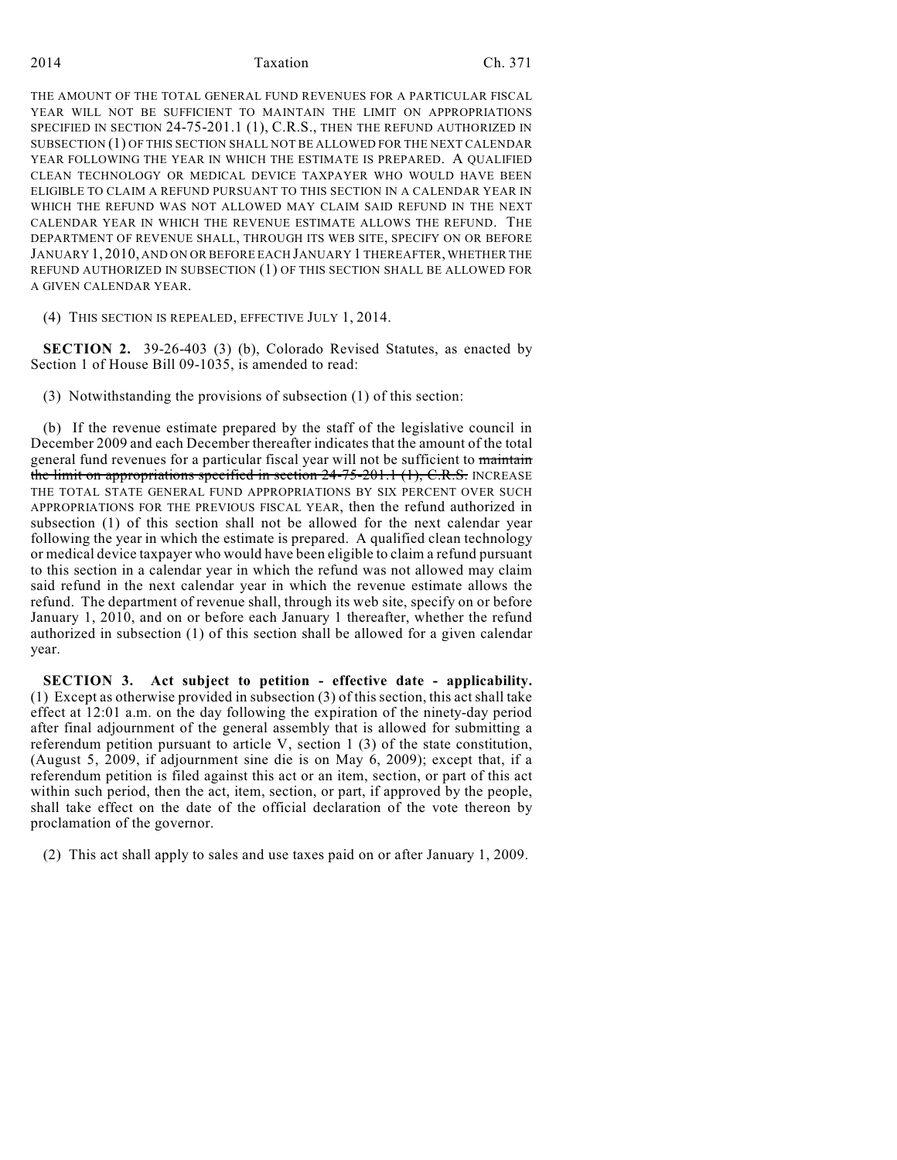#### 2014 Taxation Ch. 371

THE AMOUNT OF THE TOTAL GENERAL FUND REVENUES FOR A PARTICULAR FISCAL YEAR WILL NOT BE SUFFICIENT TO MAINTAIN THE LIMIT ON APPROPRIATIONS SPECIFIED IN SECTION 24-75-201.1 (1), C.R.S., THEN THE REFUND AUTHORIZED IN SUBSECTION (1) OF THIS SECTION SHALL NOT BE ALLOWED FOR THE NEXT CALENDAR YEAR FOLLOWING THE YEAR IN WHICH THE ESTIMATE IS PREPARED. A QUALIFIED CLEAN TECHNOLOGY OR MEDICAL DEVICE TAXPAYER WHO WOULD HAVE BEEN ELIGIBLE TO CLAIM A REFUND PURSUANT TO THIS SECTION IN A CALENDAR YEAR IN WHICH THE REFUND WAS NOT ALLOWED MAY CLAIM SAID REFUND IN THE NEXT CALENDAR YEAR IN WHICH THE REVENUE ESTIMATE ALLOWS THE REFUND. THE DEPARTMENT OF REVENUE SHALL, THROUGH ITS WEB SITE, SPECIFY ON OR BEFORE JANUARY 1, 2010, AND ON OR BEFORE EACH JANUARY 1 THEREAFTER, WHETHER THE REFUND AUTHORIZED IN SUBSECTION (1) OF THIS SECTION SHALL BE ALLOWED FOR A GIVEN CALENDAR YEAR.

(4) THIS SECTION IS REPEALED, EFFECTIVE JULY 1, 2014.

**SECTION 2.** 39-26-403 (3) (b), Colorado Revised Statutes, as enacted by Section 1 of House Bill 09-1035, is amended to read:

(3) Notwithstanding the provisions of subsection (1) of this section:

(b) If the revenue estimate prepared by the staff of the legislative council in December 2009 and each December thereafter indicates that the amount of the total general fund revenues for a particular fiscal year will not be sufficient to maintain the limit on appropriations specified in section  $24-75-201.1$  (1), C.R.S. INCREASE THE TOTAL STATE GENERAL FUND APPROPRIATIONS BY SIX PERCENT OVER SUCH APPROPRIATIONS FOR THE PREVIOUS FISCAL YEAR, then the refund authorized in subsection (1) of this section shall not be allowed for the next calendar year following the year in which the estimate is prepared. A qualified clean technology or medical device taxpayer who would have been eligible to claim a refund pursuant to this section in a calendar year in which the refund was not allowed may claim said refund in the next calendar year in which the revenue estimate allows the refund. The department of revenue shall, through its web site, specify on or before January 1, 2010, and on or before each January 1 thereafter, whether the refund authorized in subsection (1) of this section shall be allowed for a given calendar year.

**SECTION 3. Act subject to petition - effective date - applicability.** (1) Except as otherwise provided in subsection (3) of this section, this act shall take effect at 12:01 a.m. on the day following the expiration of the ninety-day period after final adjournment of the general assembly that is allowed for submitting a referendum petition pursuant to article V, section 1 (3) of the state constitution, (August 5, 2009, if adjournment sine die is on May 6, 2009); except that, if a referendum petition is filed against this act or an item, section, or part of this act within such period, then the act, item, section, or part, if approved by the people, shall take effect on the date of the official declaration of the vote thereon by proclamation of the governor.

(2) This act shall apply to sales and use taxes paid on or after January 1, 2009.